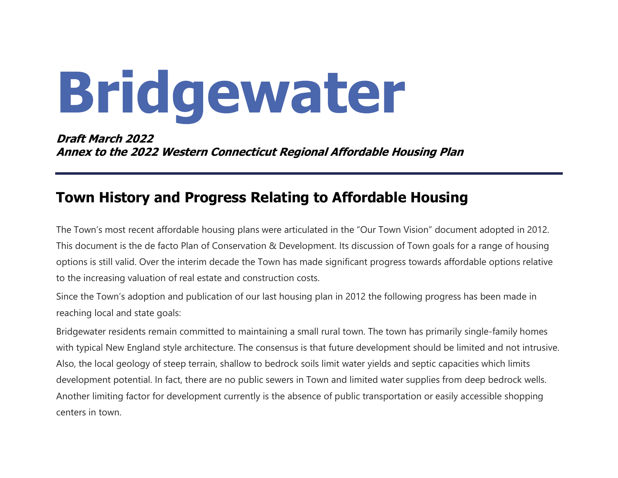# Bridgewater

#### Draft March 2022 Annex to the 2022 Western Connecticut Regional Affordable Housing Plan

### Town History and Progress Relating to Affordable Housing

The Town's most recent affordable housing plans were articulated in the "Our Town Vision" document adopted in 2012. This document is the de facto Plan of Conservation & Development. Its discussion of Town goals for a range of housing options is still valid. Over the interim decade the Town has made significant progress towards affordable options relative to the increasing valuation of real estate and construction costs.

Since the Town's adoption and publication of our last housing plan in 2012 the following progress has been made in reaching local and state goals:

Bridgewater residents remain committed to maintaining a small rural town. The town has primarily single-family homes with typical New England style architecture. The consensus is that future development should be limited and not intrusive. Also, the local geology of steep terrain, shallow to bedrock soils limit water yields and septic capacities which limits development potential. In fact, there are no public sewers in Town and limited water supplies from deep bedrock wells. Another limiting factor for development currently is the absence of public transportation or easily accessible shopping centers in town.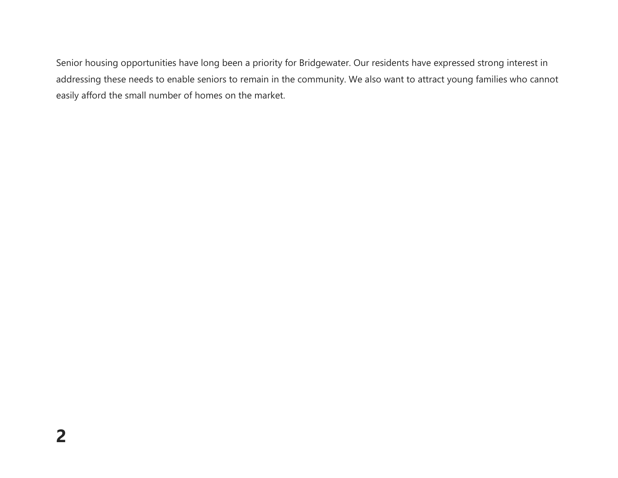Senior housing opportunities have long been a priority for Bridgewater. Our residents have expressed strong interest in addressing these needs to enable seniors to remain in the community. We also want to attract young families who cannot easily afford the small number of homes on the market.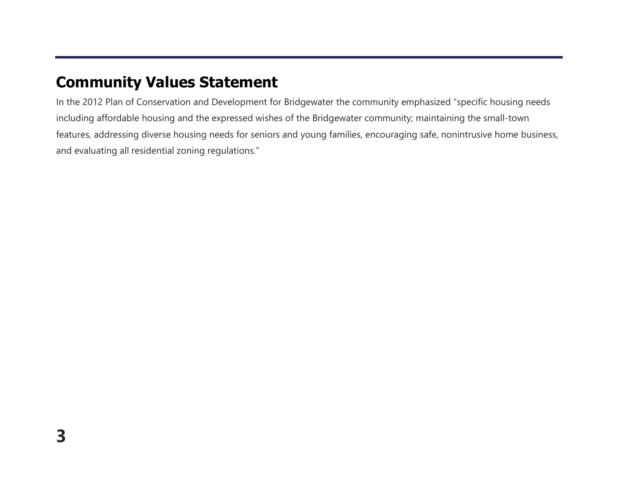## Community Values Statement

In the 2012 Plan of Conservation and Development for Bridgewater the community emphasized "specific housing needs including affordable housing and the expressed wishes of the Bridgewater community; maintaining the small-town features, addressing diverse housing needs for seniors and young families, encouraging safe, nonintrusive home business, and evaluating all residential zoning regulations."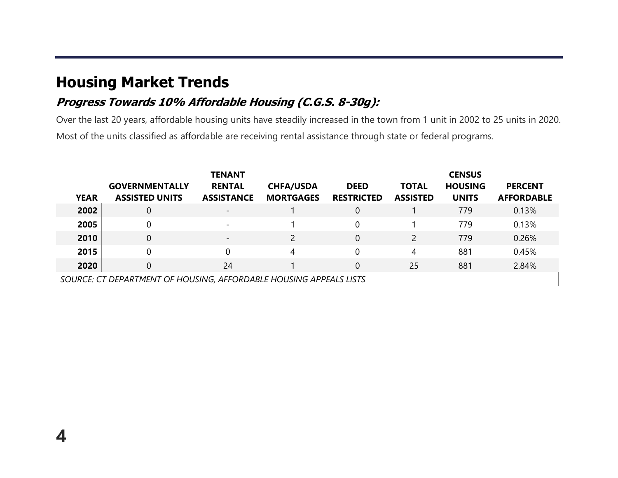## Housing Market Trends

4

#### Progress Towards 10% Affordable Housing (C.G.S. 8-30g):

Over the last 20 years, affordable housing units have steadily increased in the town from 1 unit in 2002 to 25 units in 2020. Most of the units classified as affordable are receiving rental assistance through state or federal programs.

| <b>YEAR</b> | <b>GOVERNMENTALLY</b><br><b>ASSISTED UNITS</b> | <b>TENANT</b><br><b>RENTAL</b><br><b>ASSISTANCE</b> | <b>CHFA/USDA</b><br><b>MORTGAGES</b> | <b>DEED</b><br><b>RESTRICTED</b> | <b>TOTAL</b><br><b>ASSISTED</b> | <b>CENSUS</b><br><b>HOUSING</b><br><b>UNITS</b> | <b>PERCENT</b><br><b>AFFORDABLE</b> |
|-------------|------------------------------------------------|-----------------------------------------------------|--------------------------------------|----------------------------------|---------------------------------|-------------------------------------------------|-------------------------------------|
| 2002        | $\overline{0}$                                 | $\overline{\phantom{a}}$                            |                                      | $\overline{0}$                   |                                 | 779                                             | 0.13%                               |
| 2005        | 0                                              | $\overline{\phantom{a}}$                            |                                      | $\Omega$                         |                                 | 779                                             | 0.13%                               |
| 2010        | $\mathbf 0$                                    | $\overline{\phantom{a}}$                            | $\mathcal{P}$                        | $\overline{0}$                   | $\mathcal{P}$                   | 779                                             | 0.26%                               |
| 2015        | 0                                              | 0                                                   | 4                                    | 0                                | 4                               | 881                                             | 0.45%                               |
| 2020        | $\overline{0}$                                 | 24                                                  |                                      | $\overline{0}$                   | 25                              | 881                                             | 2.84%                               |

SOURCE: CT DEPARTMENT OF HOUSING, AFFORDABLE HOUSING APPEALS LISTS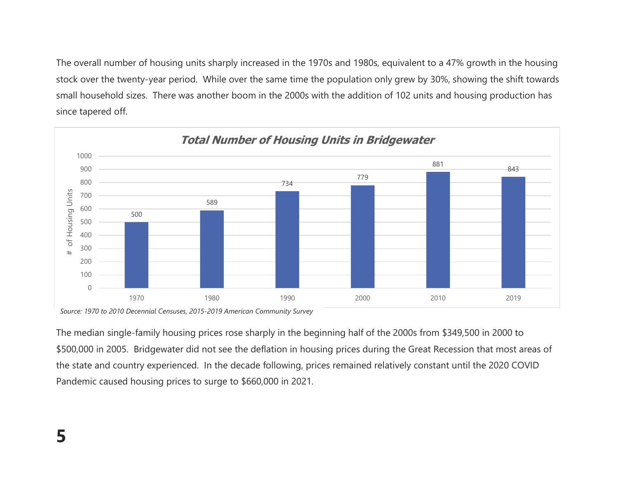The overall number of housing units sharply increased in the 1970s and 1980s, equivalent to a 47% growth in the housing stock over the twenty-year period. While over the same time the population only grew by 30%, showing the shift towards small household sizes. There was another boom in the 2000s with the addition of 102 units and housing production has since tapered off.



Source: 1970 to 2010 Decennial Censuses, 2015-2019 American Community Survey

The median single-family housing prices rose sharply in the beginning half of the 2000s from \$349,500 in 2000 to \$500,000 in 2005. Bridgewater did not see the deflation in housing prices during the Great Recession that most areas of the state and country experienced. In the decade following, prices remained relatively constant until the 2020 COVID Pandemic caused housing prices to surge to \$660,000 in 2021.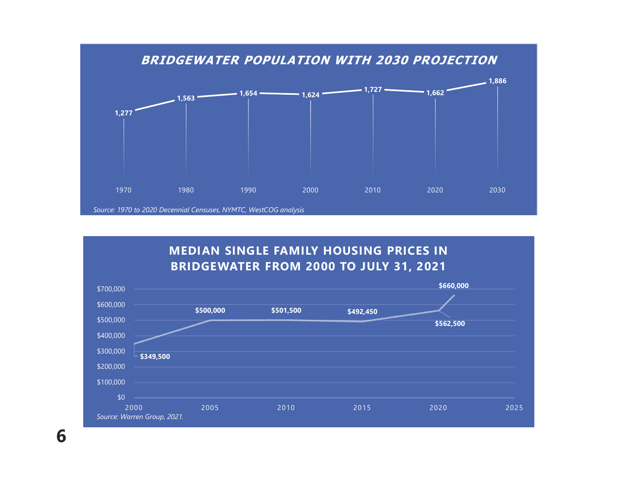

#### MEDIAN SINGLE FAMILY HOUSING PRICES IN BRIDGEWATER FROM 2000 TO JULY 31, 2021

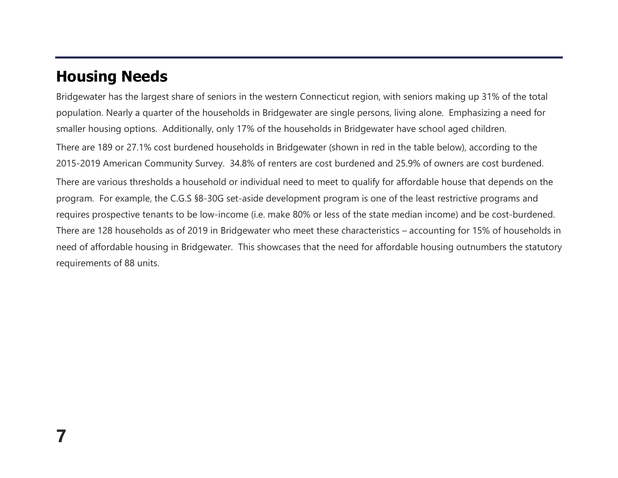## Housing Needs

Bridgewater has the largest share of seniors in the western Connecticut region, with seniors making up 31% of the total population. Nearly a quarter of the households in Bridgewater are single persons, living alone. Emphasizing a need for smaller housing options. Additionally, only 17% of the households in Bridgewater have school aged children.

There are 189 or 27.1% cost burdened households in Bridgewater (shown in red in the table below), according to the 2015-2019 American Community Survey. 34.8% of renters are cost burdened and 25.9% of owners are cost burdened.

There are various thresholds a household or individual need to meet to qualify for affordable house that depends on the program. For example, the C.G.S §8-30G set-aside development program is one of the least restrictive programs and requires prospective tenants to be low-income (i.e. make 80% or less of the state median income) and be cost-burdened. There are 128 households as of 2019 in Bridgewater who meet these characteristics – accounting for 15% of households in need of affordable housing in Bridgewater. This showcases that the need for affordable housing outnumbers the statutory requirements of 88 units.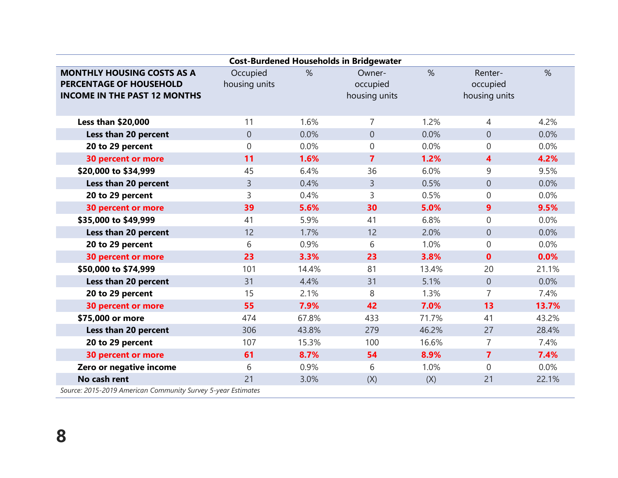| <b>Cost-Burdened Households in Bridgewater</b>                                                             |                           |       |                                     |       |                                      |       |  |  |  |  |  |
|------------------------------------------------------------------------------------------------------------|---------------------------|-------|-------------------------------------|-------|--------------------------------------|-------|--|--|--|--|--|
| <b>MONTHLY HOUSING COSTS AS A</b><br><b>PERCENTAGE OF HOUSEHOLD</b><br><b>INCOME IN THE PAST 12 MONTHS</b> | Occupied<br>housing units | $\%$  | Owner-<br>occupied<br>housing units | %     | Renter-<br>occupied<br>housing units | $\%$  |  |  |  |  |  |
| <b>Less than \$20,000</b>                                                                                  | 11                        | 1.6%  | $\overline{7}$                      | 1.2%  | $\overline{4}$                       | 4.2%  |  |  |  |  |  |
| Less than 20 percent                                                                                       | $\overline{0}$            | 0.0%  | $\overline{0}$                      | 0.0%  | $\theta$                             | 0.0%  |  |  |  |  |  |
| 20 to 29 percent                                                                                           | $\Omega$                  | 0.0%  | 0                                   | 0.0%  | $\mathbf 0$                          | 0.0%  |  |  |  |  |  |
| <b>30 percent or more</b>                                                                                  | 11                        | 1.6%  | $\overline{7}$                      | 1.2%  | 4                                    | 4.2%  |  |  |  |  |  |
| \$20,000 to \$34,999                                                                                       | 45                        | 6.4%  | 36                                  | 6.0%  | 9                                    | 9.5%  |  |  |  |  |  |
| Less than 20 percent                                                                                       | $\overline{3}$            | 0.4%  | $\overline{3}$                      | 0.5%  | $\boldsymbol{0}$                     | 0.0%  |  |  |  |  |  |
| 20 to 29 percent                                                                                           | 3                         | 0.4%  | 3                                   | 0.5%  | $\mathbf 0$                          | 0.0%  |  |  |  |  |  |
| <b>30 percent or more</b>                                                                                  | 39                        | 5.6%  | 30                                  | 5.0%  | 9                                    | 9.5%  |  |  |  |  |  |
| \$35,000 to \$49,999                                                                                       | 41                        | 5.9%  | 41                                  | 6.8%  | $\overline{0}$                       | 0.0%  |  |  |  |  |  |
| Less than 20 percent                                                                                       | 12                        | 1.7%  | 12                                  | 2.0%  | $\boldsymbol{0}$                     | 0.0%  |  |  |  |  |  |
| 20 to 29 percent                                                                                           | 6                         | 0.9%  | 6                                   | 1.0%  | $\boldsymbol{0}$                     | 0.0%  |  |  |  |  |  |
| <b>30 percent or more</b>                                                                                  | 23                        | 3.3%  | 23                                  | 3.8%  | $\mathbf{0}$                         | 0.0%  |  |  |  |  |  |
| \$50,000 to \$74,999                                                                                       | 101                       | 14.4% | 81                                  | 13.4% | 20                                   | 21.1% |  |  |  |  |  |
| Less than 20 percent                                                                                       | 31                        | 4.4%  | 31                                  | 5.1%  | $\boldsymbol{0}$                     | 0.0%  |  |  |  |  |  |
| 20 to 29 percent                                                                                           | 15                        | 2.1%  | 8                                   | 1.3%  | $\overline{7}$                       | 7.4%  |  |  |  |  |  |
| <b>30 percent or more</b>                                                                                  | 55                        | 7.9%  | 42                                  | 7.0%  | 13                                   | 13.7% |  |  |  |  |  |
| \$75,000 or more                                                                                           | 474                       | 67.8% | 433                                 | 71.7% | 41                                   | 43.2% |  |  |  |  |  |
| Less than 20 percent                                                                                       | 306                       | 43.8% | 279                                 | 46.2% | 27                                   | 28.4% |  |  |  |  |  |
| 20 to 29 percent                                                                                           | 107                       | 15.3% | 100                                 | 16.6% | $\overline{7}$                       | 7.4%  |  |  |  |  |  |
| <b>30 percent or more</b>                                                                                  | 61                        | 8.7%  | 54                                  | 8.9%  | $\overline{7}$                       | 7.4%  |  |  |  |  |  |
| Zero or negative income                                                                                    | 6                         | 0.9%  | 6                                   | 1.0%  | $\overline{0}$                       | 0.0%  |  |  |  |  |  |
| No cash rent                                                                                               | 21                        | 3.0%  | (X)                                 | (X)   | 21                                   | 22.1% |  |  |  |  |  |
| Source: 2015-2019 American Community Survey 5-year Estimates                                               |                           |       |                                     |       |                                      |       |  |  |  |  |  |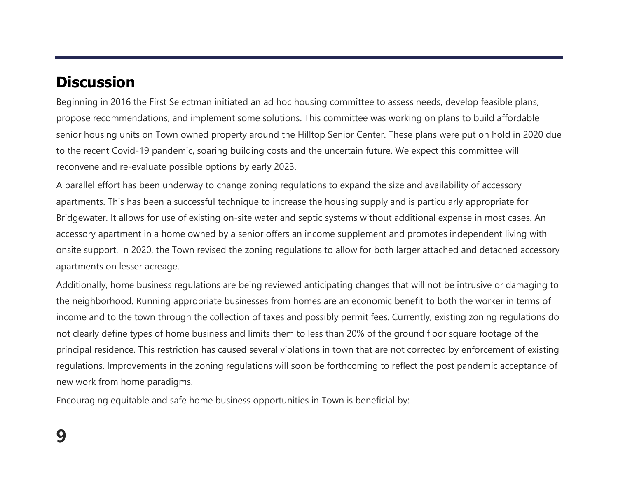## **Discussion**

Beginning in 2016 the First Selectman initiated an ad hoc housing committee to assess needs, develop feasible plans, propose recommendations, and implement some solutions. This committee was working on plans to build affordable senior housing units on Town owned property around the Hilltop Senior Center. These plans were put on hold in 2020 due to the recent Covid-19 pandemic, soaring building costs and the uncertain future. We expect this committee will reconvene and re-evaluate possible options by early 2023.

A parallel effort has been underway to change zoning regulations to expand the size and availability of accessory apartments. This has been a successful technique to increase the housing supply and is particularly appropriate for Bridgewater. It allows for use of existing on-site water and septic systems without additional expense in most cases. An accessory apartment in a home owned by a senior offers an income supplement and promotes independent living with onsite support. In 2020, the Town revised the zoning regulations to allow for both larger attached and detached accessory apartments on lesser acreage.

Additionally, home business regulations are being reviewed anticipating changes that will not be intrusive or damaging to the neighborhood. Running appropriate businesses from homes are an economic benefit to both the worker in terms of income and to the town through the collection of taxes and possibly permit fees. Currently, existing zoning regulations do not clearly define types of home business and limits them to less than 20% of the ground floor square footage of the principal residence. This restriction has caused several violations in town that are not corrected by enforcement of existing regulations. Improvements in the zoning regulations will soon be forthcoming to reflect the post pandemic acceptance of new work from home paradigms.

Encouraging equitable and safe home business opportunities in Town is beneficial by: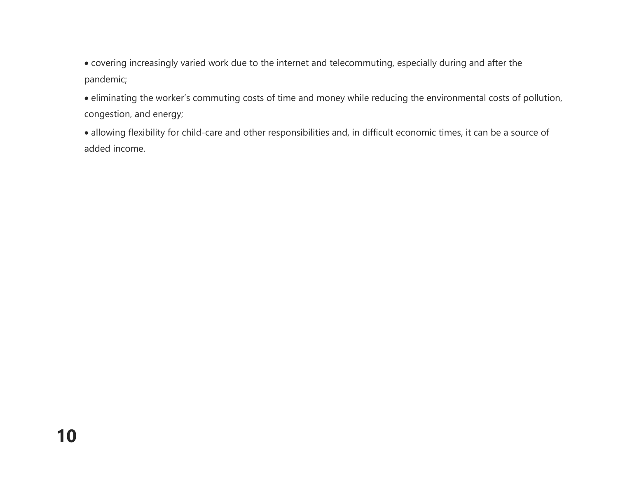covering increasingly varied work due to the internet and telecommuting, especially during and after the pandemic;

 eliminating the worker's commuting costs of time and money while reducing the environmental costs of pollution, congestion, and energy;

 allowing flexibility for child-care and other responsibilities and, in difficult economic times, it can be a source of added income.